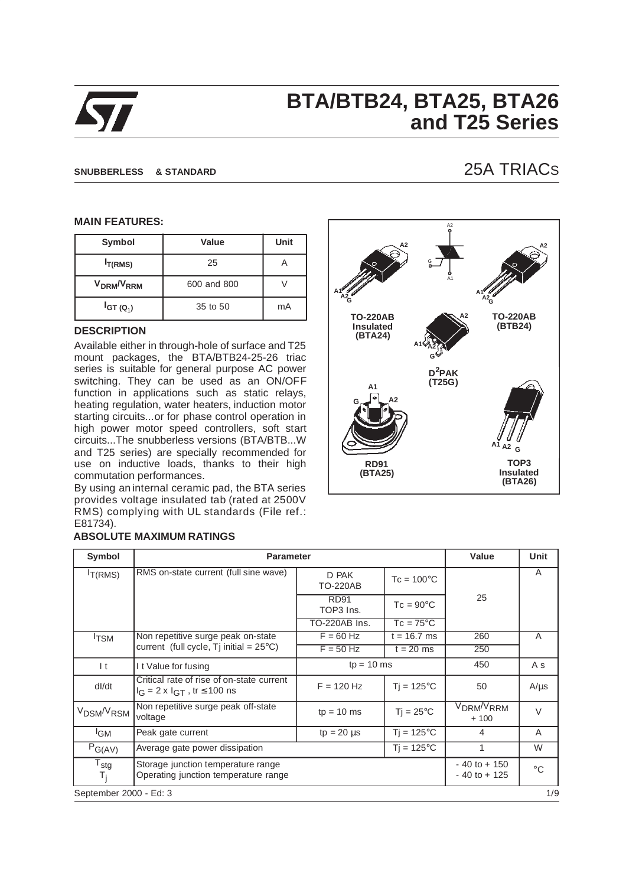

# **BTA/BTB24, BTA25, BTA26 and T25 Series**

## **SNUBBERLESS & STANDARD** 25A TRIACS

#### **MAIN FEATURES:**

| Symbol                             | Value       | Unit |
|------------------------------------|-------------|------|
| $I_{T(RMS)}$                       | 25          |      |
| V <sub>DRM</sub> /V <sub>RRM</sub> | 600 and 800 |      |
| $I_{GT(Q_1)}$                      | 35 to 50    | mA   |

#### **DESCRIPTION**

Available either in through-hole of surface and T25 mount packages, the BTA/BTB24-25-26 triac series is suitable for general purpose AC power switching. They can be used as an ON/OFF function in applications such as static relays, heating regulation, water heaters, induction motor starting circuits...or for phase control operation in high power motor speed controllers, soft start circuits...The snubberless versions (BTA/BTB...W and T25 series) are specially recommended for use on inductive loads, thanks to their high commutation performances.

By using an internal ceramic pad, the BTA series provides voltage insulated tab (rated at 2500V RMS) complying with UL standards (File ref.: E81734).

#### **ABSOLUTE MAXIMUM RATINGS**



| Symbol                                        | <b>Parameter</b>                                                                        |                          |                     | Value                                        | Unit        |
|-----------------------------------------------|-----------------------------------------------------------------------------------------|--------------------------|---------------------|----------------------------------------------|-------------|
| T(RMS)                                        | RMS on-state current (full sine wave)                                                   | D PAK<br><b>TO-220AB</b> | $Tc = 100^{\circ}C$ |                                              | A           |
|                                               |                                                                                         | <b>RD91</b><br>TOP3 Ins. | $Tc = 90^{\circ}C$  | 25                                           |             |
|                                               |                                                                                         | TO-220AB Ins.            | $Tc = 75^{\circ}C$  |                                              |             |
| <sup>I</sup> TSM                              | Non repetitive surge peak on-state                                                      | $F = 60$ Hz              | $t = 16.7$ ms       | 260                                          | A           |
|                                               | current (full cycle, $Ti$ initial = $25^{\circ}$ C)                                     | $F = 50$ Hz              | $t = 20$ ms         | 250                                          |             |
| $\mathsf{I}$ t                                | It Value for fusing                                                                     | $tp = 10$ ms             |                     | 450                                          | A s         |
| dl/dt                                         | Critical rate of rise of on-state current<br>$I_G = 2 \times I_{GT}$ , tr $\leq 100$ ns | $F = 120$ Hz             | $Ti = 125^{\circ}C$ | 50                                           | $A/\mu s$   |
| V <sub>DSM</sub> /V <sub>RSM</sub>            | Non repetitive surge peak off-state<br>voltage                                          | $tp = 10$ ms             | $Tj = 25^{\circ}C$  | V <sub>DRM</sub> /V <sub>RRM</sub><br>$+100$ | $\vee$      |
| <sup>I</sup> GM                               | Peak gate current                                                                       | $tp = 20 \mu s$          | $Ti = 125^{\circ}C$ | 4                                            | A           |
| $P_{G(AV)}$                                   | Average gate power dissipation                                                          |                          | $Tj = 125^{\circ}C$ | 1                                            | W           |
| $\mathsf{r}_{\mathsf{stg}}$<br>T <sub>i</sub> | Storage junction temperature range<br>Operating junction temperature range              |                          |                     | $-40$ to $+150$<br>$-40$ to $+125$           | $^{\circ}C$ |
| September 2000 - Ed: 3                        |                                                                                         |                          |                     |                                              | 1/9         |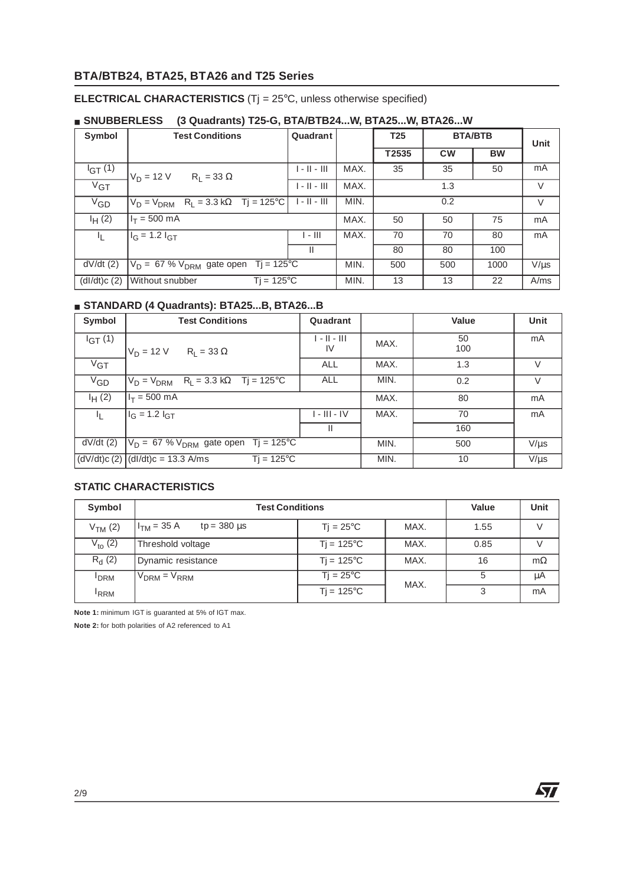## **BTA/BTB24, BTA25, BTA26 and T25 Series**

#### **ELECTRICAL CHARACTERISTICS** (Tj = 25°C, unless otherwise specified)

| Symbol       | <b>Test Conditions</b>                              | Quadrant       |      | T <sub>25</sub> |           | <b>BTA/BTB</b> | Unit      |
|--------------|-----------------------------------------------------|----------------|------|-----------------|-----------|----------------|-----------|
|              |                                                     |                |      | T2535           | <b>CW</b> | <b>BW</b>      |           |
| $I_{GT} (1)$ | $V_D = 12 V$<br>$R_1 = 33 \Omega$                   | $1 - 11 - 111$ | MAX. | 35              | 35        | 50             | mA        |
| $V_{GT}$     |                                                     | $1 - 11 - 111$ | MAX. |                 | 1.3       |                | V         |
| $V_{GD}$     | $ V_D = V_{DRM}$ R <sub>L</sub> = 3.3 kΩ Tj = 125°C | $1 - 11 - 111$ | MIN. |                 | 0.2       |                | V         |
| $I_H(2)$     | $I_T = 500$ mA                                      |                | MAX. | 50              | 50        | 75             | mA        |
| 4.           | $I_G$ = 1.2 $I_{GT}$                                | $1 - 111$      | MAX. | 70              | 70        | 80             | mA        |
|              |                                                     | Ш              |      | 80              | 80        | 100            |           |
| $dV/dt$ (2)  | $V_D = 67 % V_{DRM}$ gate open Tj = 125°C           |                | MIN. | 500             | 500       | 1000           | $V/\mu s$ |
| (dI/dt)c(2)  | Without snubber<br>$Ti = 125^{\circ}C$              |                | MIN. | 13              | 13        | 22             | A/ms      |

#### ■ **SNUBBERLESS**™ (3 Quadrants) T25-G, BTA/BTB24...W, BTA25...W, BTA26...W

### ■ **STANDARD (4 Quadrants): BTA25...B, BTA26...B**

| Symbol          | <b>Test Conditions</b>                                      | Quadrant             |      | Value     | Unit      |
|-----------------|-------------------------------------------------------------|----------------------|------|-----------|-----------|
| $I_{GT}(1)$     | $V_D = 12 V$ R <sub>1</sub> = 33 $\Omega$                   | $1 - 11 - 111$<br>IV | MAX. | 50<br>100 | mA        |
| V <sub>GT</sub> |                                                             | ALL                  | MAX. | 1.3       | $\vee$    |
| $V_{GD}$        | $V_D = V_{DRM}$ R <sub>L</sub> = 3.3 kΩ Tj = 125°C          | <b>ALL</b>           | MIN. | 0.2       | V         |
| $I_{H}$ (2)     | $I_T = 500$ mA                                              |                      | MAX. | 80        | mA        |
|                 | $I_G = 1.2 I_{GT}$                                          | $I - III - IV$       | MAX. | 70        | mA        |
|                 |                                                             | Ш                    |      | 160       |           |
| $dV/dt$ (2)     | $V_D = 67 % V_{DRM}$ gate open Tj = 125°C                   |                      | MIN. | 500       | $V/\mu s$ |
|                 | $(dV/dt)c(2)$ $(dI/dt)c = 13.3$ A/ms<br>$Ti = 125^{\circ}C$ |                      | MIN. | 10        | $V/\mu s$ |

#### **STATIC CHARACTERISTICS**

| Symbol              | <b>Test Conditions</b>              | Value               | Unit |      |           |
|---------------------|-------------------------------------|---------------------|------|------|-----------|
| V <sub>TM</sub> (2) | $H_{TM} = 35 A$<br>$tp = 380 \mu s$ | $Ti = 25^{\circ}C$  | MAX. | 1.55 | V         |
| $V_{to} (2)$        | Threshold voltage                   | $Ti = 125^{\circ}C$ | MAX. | 0.85 |           |
| $R_{d}$ (2)         | Dynamic resistance                  | $Ti = 125^{\circ}C$ | MAX. | 16   | $m\Omega$ |
| <sup>I</sup> DRM    | $V_{DRM} = V_{RRM}$                 | $Ti = 25^{\circ}C$  | MAX. | 5    | μA        |
| <sup>I</sup> RRM    |                                     | $Tj = 125^{\circ}C$ |      |      | mA        |

**Note 1:** minimum IGT is guaranted at 5% of IGT max.

**Note 2:** for both polarities of A2 referenced to A1

57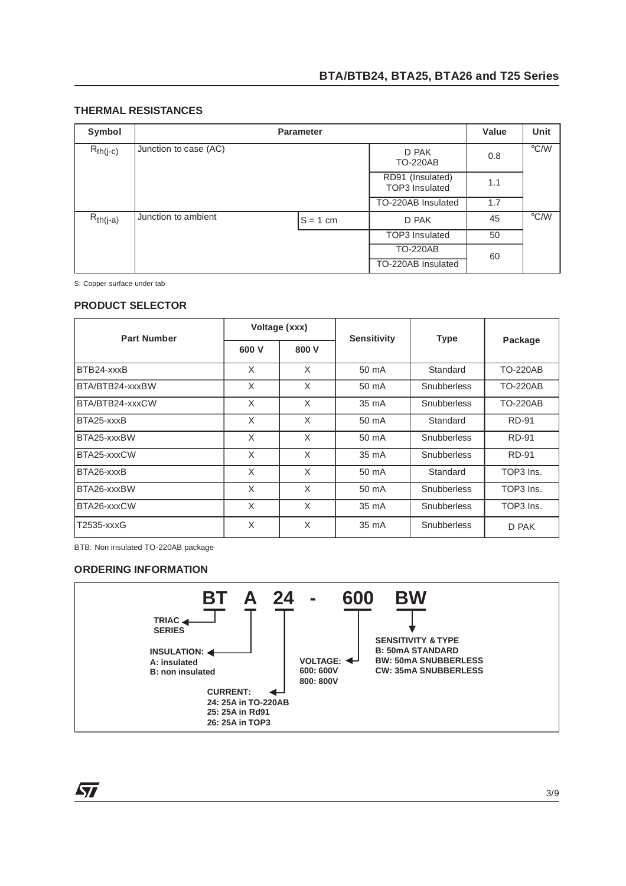#### **THERMAL RESISTANCES**

| Symbol        |                       | <b>Parameter</b> |                                           | Value | Unit          |
|---------------|-----------------------|------------------|-------------------------------------------|-------|---------------|
| $R_{th(j-c)}$ | Junction to case (AC) |                  | D PAK<br><b>TO-220AB</b>                  | 0.8   | $\degree$ C/W |
|               |                       |                  | RD91 (Insulated)<br><b>TOP3</b> Insulated | 1.1   |               |
|               |                       |                  | TO-220AB Insulated                        | 1.7   |               |
| $R_{th(j-a)}$ | Junction to ambient   | $S = 1$ cm       | D PAK                                     | 45    | $\degree$ C/W |
|               |                       |                  | <b>TOP3</b> Insulated                     | 50    |               |
|               |                       |                  | <b>TO-220AB</b>                           | 60    |               |
|               |                       |                  | TO-220AB Insulated                        |       |               |

S: Copper surface under tab

#### **PRODUCT SELECTOR**

| <b>Part Number</b> |          | Voltage (xxx) |                    | <b>Type</b>        |                 |  |
|--------------------|----------|---------------|--------------------|--------------------|-----------------|--|
|                    | 600 V    | 800 V         | <b>Sensitivity</b> |                    | Package         |  |
| BTB24-xxxB         | X        | X             | 50 mA              | Standard           | <b>TO-220AB</b> |  |
| BTA/BTB24-xxxBW    | X        | X             | 50 mA              | <b>Snubberless</b> | <b>TO-220AB</b> |  |
| BTA/BTB24-xxxCW    | X        | X             | 35 mA              | <b>Snubberless</b> | <b>TO-220AB</b> |  |
| BTA25-xxxB         | X        | X             | 50 mA              | Standard           | <b>RD-91</b>    |  |
| BTA25-xxxBW        | X        | X             | 50 mA              | <b>Snubberless</b> | <b>RD-91</b>    |  |
| BTA25-xxxCW        | X        | X             | 35 mA              | <b>Snubberless</b> | <b>RD-91</b>    |  |
| BTA26-xxxB         | X        | $\times$      | 50 mA              | Standard           | TOP3 Ins.       |  |
| BTA26-xxxBW        | X        | X             | 50 mA              | <b>Snubberless</b> | TOP3 Ins.       |  |
| BTA26-xxxCW        | X        | $\times$      | 35 mA              | <b>Snubberless</b> | TOP3 Ins.       |  |
| T2535-xxxG         | $\times$ | X             | 35 mA              | <b>Snubberless</b> | D PAK           |  |

BTB: Non insulated TO-220AB package

#### **ORDERING INFORMATION**

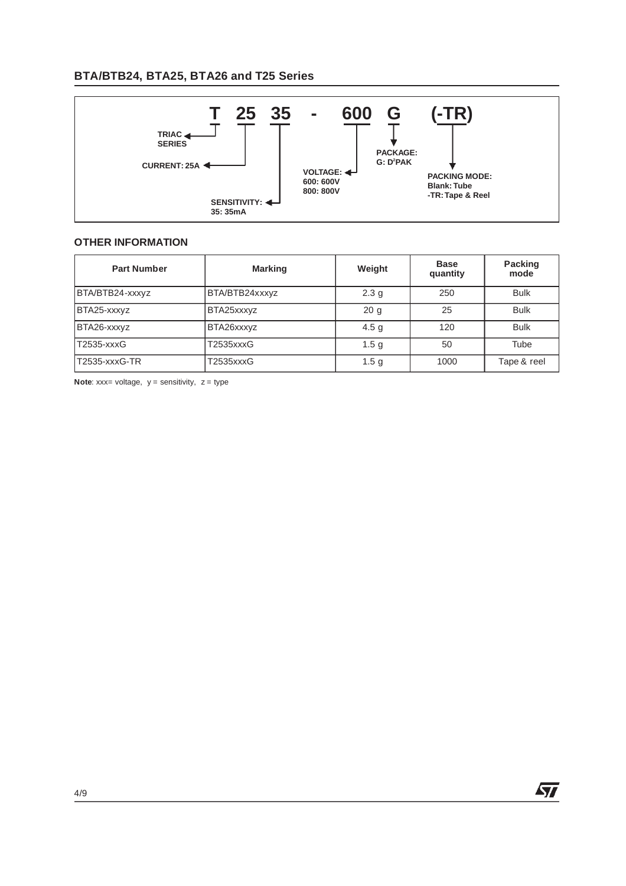## **BTA/BTB24, BTA25, BTA26 and T25 Series**



#### **OTHER INFORMATION**

| <b>Part Number</b> | <b>Marking</b> | Weight           | <b>Base</b><br>quantity | <b>Packing</b><br>mode |
|--------------------|----------------|------------------|-------------------------|------------------------|
| BTA/BTB24-xxxyz    | BTA/BTB24xxxyz | 2.3 <sub>g</sub> | 250                     | <b>Bulk</b>            |
| BTA25-xxxyz        | BTA25xxxyz     | 20 <sub>g</sub>  | 25                      | <b>Bulk</b>            |
| BTA26-xxxyz        | BTA26xxxyz     | 4.5 <sub>g</sub> | 120                     | <b>Bulk</b>            |
| T2535-xxxG         | T2535xxxG      | 1.5 <sub>g</sub> | 50                      | Tube                   |
| T2535-xxxG-TR      | T2535xxxG      | 1.5 <sub>q</sub> | 1000                    | Tape & reel            |

**Note:** xxx= voltage,  $y =$  sensitivity,  $z =$  type

团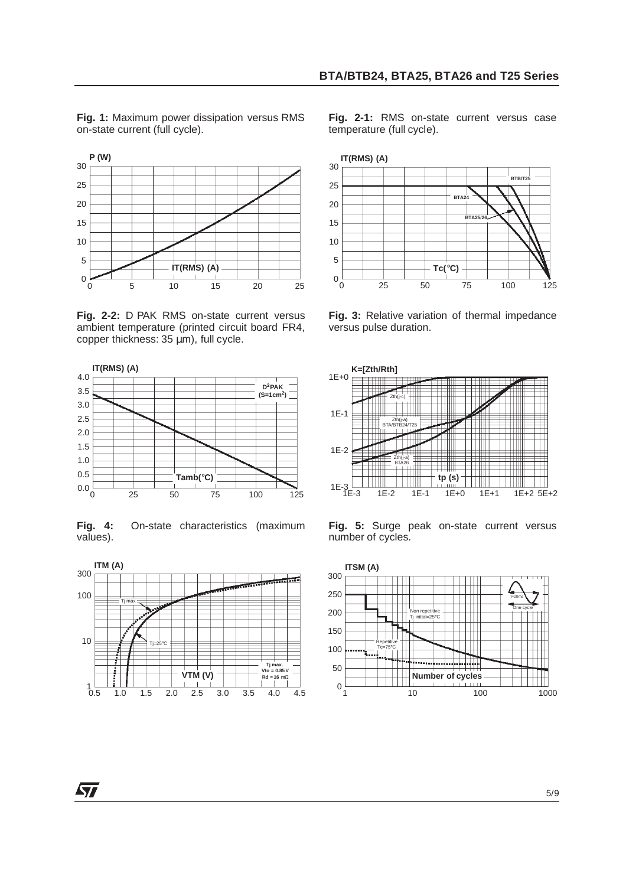**Fig. 1:** Maximum power dissipation versus RMS on-state current (full cycle).



**Fig. 2-2:** D PAK RMS on-state current versus ambient temperature (printed circuit board FR4, copper thickness: 35 µm), full cycle.



**Fig. 4:** On-state characteristics (maximum values).



**Fig. 2-1:** RMS on-state current versus case temperature (full cycle).



**Fig. 3:** Relative variation of thermal impedance versus pulse duration.



**Fig. 5:** Surge peak on-state current versus number of cycles.

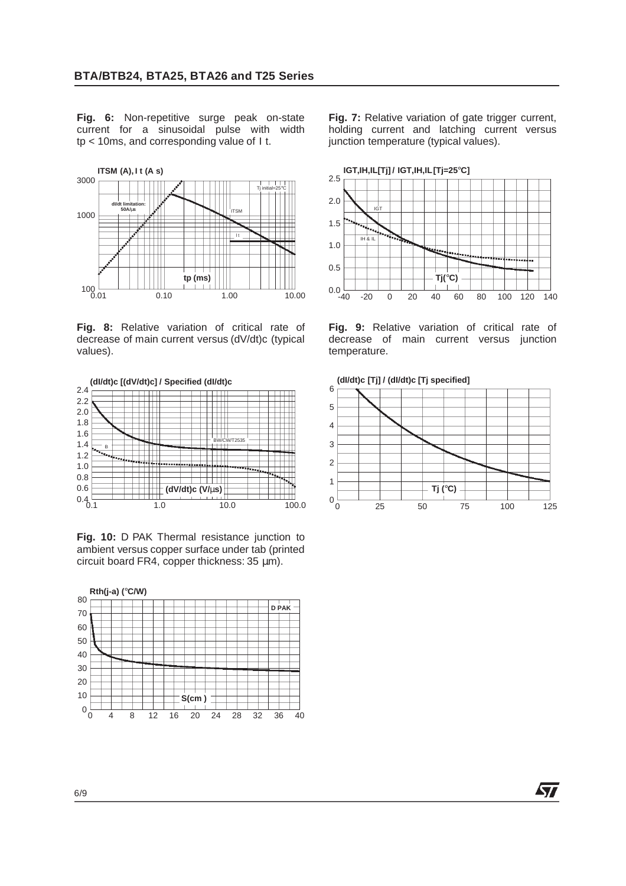**Fig. 6:** Non-repetitive surge peak on-state current for a sinusoidal pulse with width tp < 10ms, and corresponding value of I t.



**Fig. 8:** Relative variation of critical rate of decrease of main current versus (dV/dt)c (typical values).



**Fig. 10:** D PAK Thermal resistance junction to ambient versus copper surface under tab (printed circuit board FR4, copper thickness: 35 µm).



**Fig. 7:** Relative variation of gate trigger current, holding current and latching current versus junction temperature (typical values).



**Fig. 9:** Relative variation of critical rate of decrease of main current versus junction temperature.



57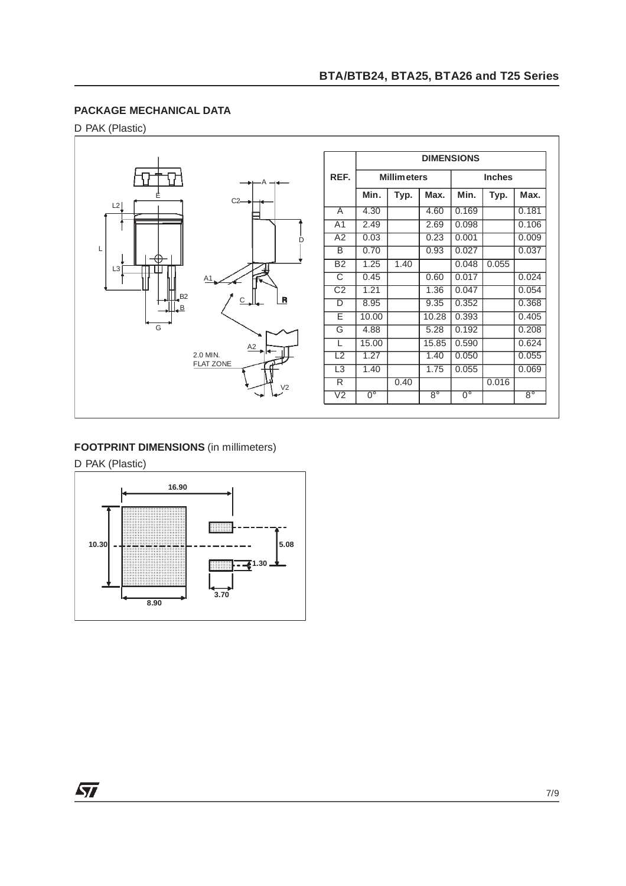#### **PACKAGE MECHANICAL DATA**

D PAK (Plastic)



#### **FOOTPRINT DIMENSIONS** (in millimeters)

D PAK (Plastic)



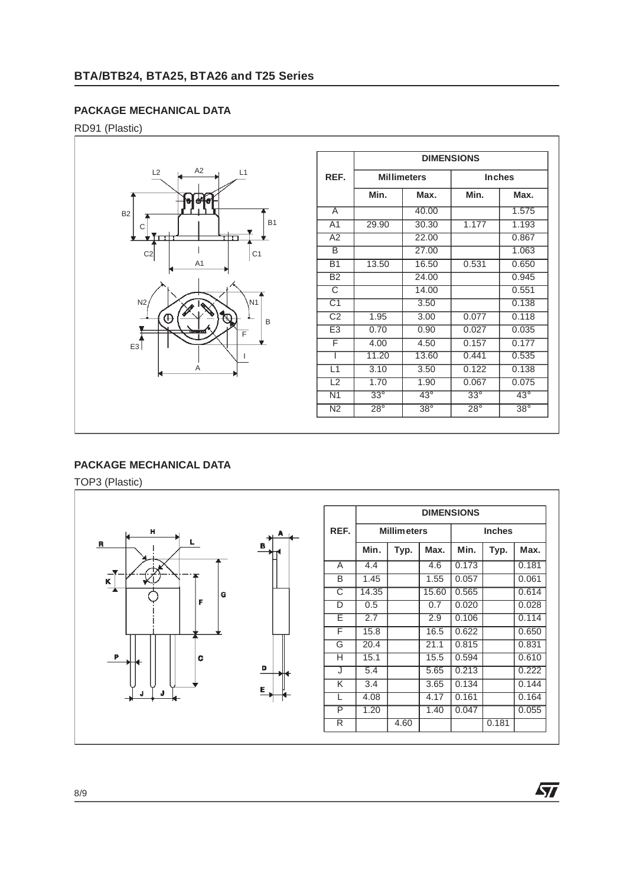#### **PACKAGE MECHANICAL DATA**

RD91 (Plastic)



|                 |            | <b>DIMENSIONS</b>     |               |            |  |  |
|-----------------|------------|-----------------------|---------------|------------|--|--|
| REF.            |            | <b>Millimeters</b>    | <b>Inches</b> |            |  |  |
|                 | Min.       | Max.                  | Min.          | Max.       |  |  |
| A               |            | 40.00                 |               | 1.575      |  |  |
| A <sub>1</sub>  | 29.90      | 30.30                 | 1.177         | 1.193      |  |  |
| A2              |            | 22.00                 |               | 0.867      |  |  |
| B               |            | 27.00                 |               | 1.063      |  |  |
| <b>B1</b>       | 13.50      | 16.50                 | 0.531         | 0.650      |  |  |
| <b>B2</b>       |            | 24.00                 |               | 0.945      |  |  |
| C               |            | 14.00                 |               | 0.551      |  |  |
| C <sub>1</sub>  |            | 3.50                  |               | 0.138      |  |  |
| C <sub>2</sub>  | 1.95       | 3.00                  | 0.077         | 0.118      |  |  |
| E <sub>3</sub>  | 0.70       | 0.90                  | 0.027         | 0.035      |  |  |
| F               | 4.00       | 4.50                  | 0.157         | 0.177      |  |  |
|                 | 11.20      | 13.60                 | 0.441         | 0.535      |  |  |
| L1              | 3.10       | 3.50                  | 0.122         | 0.138      |  |  |
| L2              | 1.70       | 1.90                  | 0.067         | 0.075      |  |  |
| $\overline{N1}$ | $33^\circ$ | $43^\circ$            | $33^\circ$    | $43^\circ$ |  |  |
| $\overline{N2}$ | $28^\circ$ | $\overline{38^\circ}$ | $28^\circ$    | $38^\circ$ |  |  |

57

#### **PACKAGE MECHANICAL DATA**

TOP3 (Plastic)